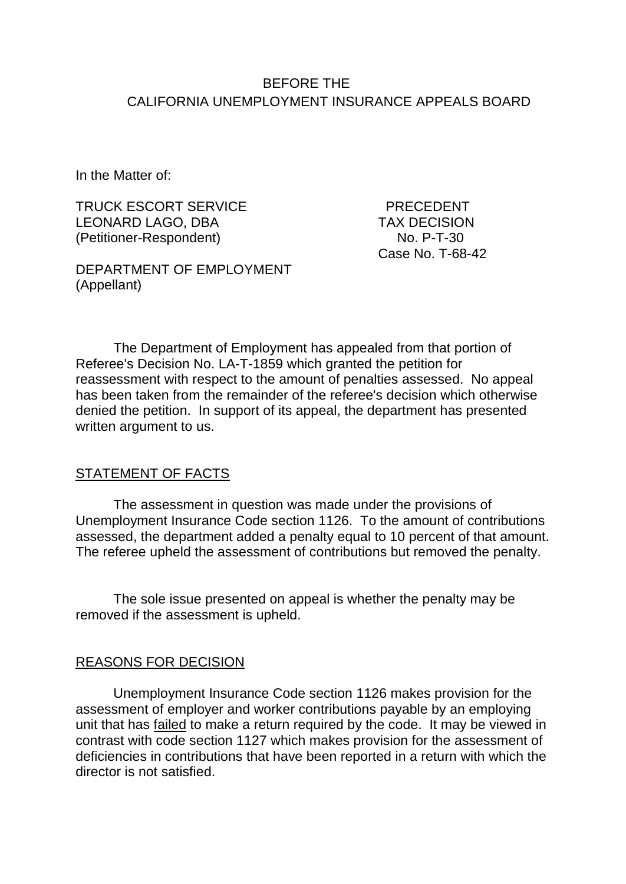## BEFORE THE CALIFORNIA UNEMPLOYMENT INSURANCE APPEALS BOARD

In the Matter of:

TRUCK ESCORT SERVICE FRECEDENT LEONARD LAGO, DBA TAX DECISION (Petitioner-Respondent)

DEPARTMENT OF EMPLOYMENT (Appellant)

Case No. T-68-42

The Department of Employment has appealed from that portion of Referee's Decision No. LA-T-1859 which granted the petition for reassessment with respect to the amount of penalties assessed. No appeal has been taken from the remainder of the referee's decision which otherwise denied the petition. In support of its appeal, the department has presented written argument to us.

### STATEMENT OF FACTS

The assessment in question was made under the provisions of Unemployment Insurance Code section 1126. To the amount of contributions assessed, the department added a penalty equal to 10 percent of that amount. The referee upheld the assessment of contributions but removed the penalty.

The sole issue presented on appeal is whether the penalty may be removed if the assessment is upheld.

#### REASONS FOR DECISION

Unemployment Insurance Code section 1126 makes provision for the assessment of employer and worker contributions payable by an employing unit that has failed to make a return required by the code. It may be viewed in contrast with code section 1127 which makes provision for the assessment of deficiencies in contributions that have been reported in a return with which the director is not satisfied.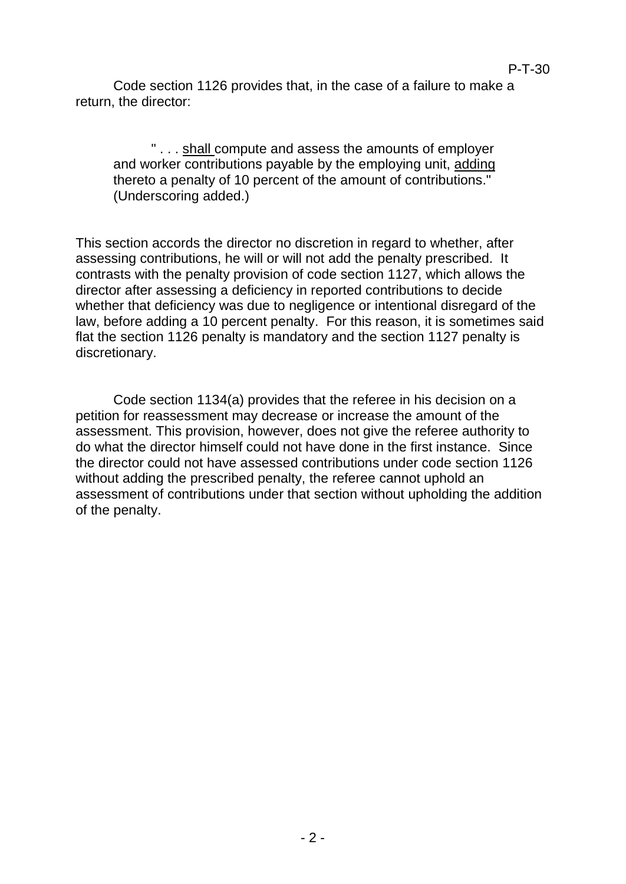Code section 1126 provides that, in the case of a failure to make a return, the director:

" . . . shall compute and assess the amounts of employer and worker contributions payable by the employing unit, adding thereto a penalty of 10 percent of the amount of contributions." (Underscoring added.)

This section accords the director no discretion in regard to whether, after assessing contributions, he will or will not add the penalty prescribed. It contrasts with the penalty provision of code section 1127, which allows the director after assessing a deficiency in reported contributions to decide whether that deficiency was due to negligence or intentional disregard of the law, before adding a 10 percent penalty. For this reason, it is sometimes said flat the section 1126 penalty is mandatory and the section 1127 penalty is discretionary.

Code section 1134(a) provides that the referee in his decision on a petition for reassessment may decrease or increase the amount of the assessment. This provision, however, does not give the referee authority to do what the director himself could not have done in the first instance. Since the director could not have assessed contributions under code section 1126 without adding the prescribed penalty, the referee cannot uphold an assessment of contributions under that section without upholding the addition of the penalty.